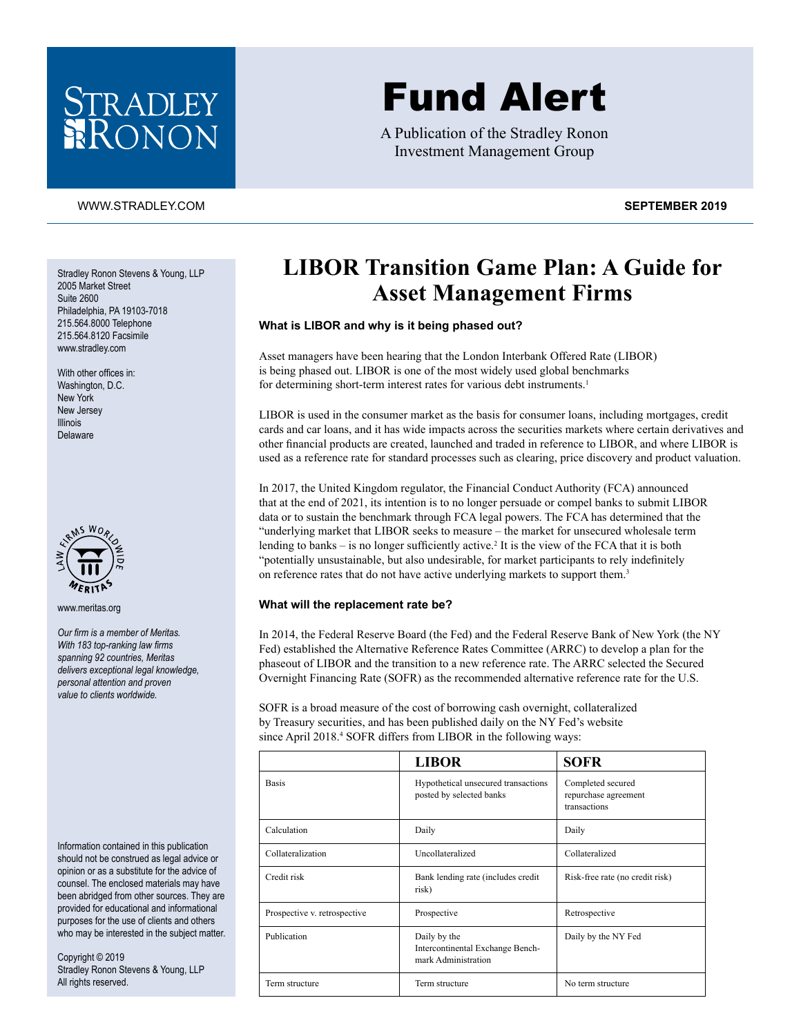

# Fund Alert

A Publication of the Stradley Ronon Investment Management Group

### [WWW.STRADLEY.COM](www.stradley.com) **SEPTEMBER 2019**

Stradley Ronon Stevens & Young, LLP 2005 Market Street Suite 2600 Philadelphia, PA 19103-7018 215.564.8000 Telephone 215.564.8120 Facsimile [www.stradley.com](http://www.stradley.com)

With other offices in: Washington, D.C. New York New Jersey Illinois Delaware



[www.meritas.org](http://www.meritas.org)

*Our firm is a member of Meritas. With 183 top-ranking law firms spanning 92 countries, Meritas delivers exceptional legal knowledge, personal attention and proven value to clients worldwide.*

Information contained in this publication should not be construed as legal advice or opinion or as a substitute for the advice of counsel. The enclosed materials may have been abridged from other sources. They are provided for educational and informational purposes for the use of clients and others who may be interested in the subject matter.

Copyright © 2019 Stradley Ronon Stevens & Young, LLP All rights reserved.

## **LIBOR Transition Game Plan: A Guide for Asset Management Firms**

#### **What is LIBOR and why is it being phased out?**

Asset managers have been hearing that the London Interbank Offered Rate (LIBOR) is being phased out. LIBOR is one of the most widely used global benchmarks for determining short-term interest rates for various debt instruments.<sup>1</sup>

LIBOR is used in the consumer market as the basis for consumer loans, including mortgages, credit cards and car loans, and it has wide impacts across the securities markets where certain derivatives and other financial products are created, launched and traded in reference to LIBOR, and where LIBOR is used as a reference rate for standard processes such as clearing, price discovery and product valuation.

In 2017, the United Kingdom regulator, the Financial Conduct Authority (FCA) announced that at the end of 2021, its intention is to no longer persuade or compel banks to submit LIBOR data or to sustain the benchmark through FCA legal powers. The FCA has determined that the "underlying market that LIBOR seeks to measure – the market for unsecured wholesale term lending to banks – is no longer sufficiently active.<sup>2</sup> It is the view of the FCA that it is both "potentially unsustainable, but also undesirable, for market participants to rely indefinitely on reference rates that do not have active underlying markets to support them.<sup>3</sup>

#### **What will the replacement rate be?**

In 2014, the Federal Reserve Board (the Fed) and the Federal Reserve Bank of New York (the NY Fed) established the Alternative Reference Rates Committee (ARRC) to develop a plan for the phaseout of LIBOR and the transition to a new reference rate. The ARRC selected the Secured Overnight Financing Rate (SOFR) as the recommended alternative reference rate for the U.S.

SOFR is a broad measure of the cost of borrowing cash overnight, collateralized by Treasury securities, and has been published daily on the NY Fed's website since April 2018.<sup>4</sup> SOFR differs from LIBOR in the following ways:

|                              | <b>LIBOR</b>                                                            | <b>SOFR</b>                                               |
|------------------------------|-------------------------------------------------------------------------|-----------------------------------------------------------|
| <b>Basis</b>                 | Hypothetical unsecured transactions<br>posted by selected banks         | Completed secured<br>repurchase agreement<br>transactions |
| Calculation                  | Daily                                                                   | Daily                                                     |
| Collateralization            | Uncollateralized                                                        | Collateralized                                            |
| Credit risk                  | Bank lending rate (includes credit<br>risk)                             | Risk-free rate (no credit risk)                           |
| Prospective v. retrospective | Prospective                                                             | Retrospective                                             |
| Publication                  | Daily by the<br>Intercontinental Exchange Bench-<br>mark Administration | Daily by the NY Fed                                       |
| Term structure               | Term structure                                                          | No term structure                                         |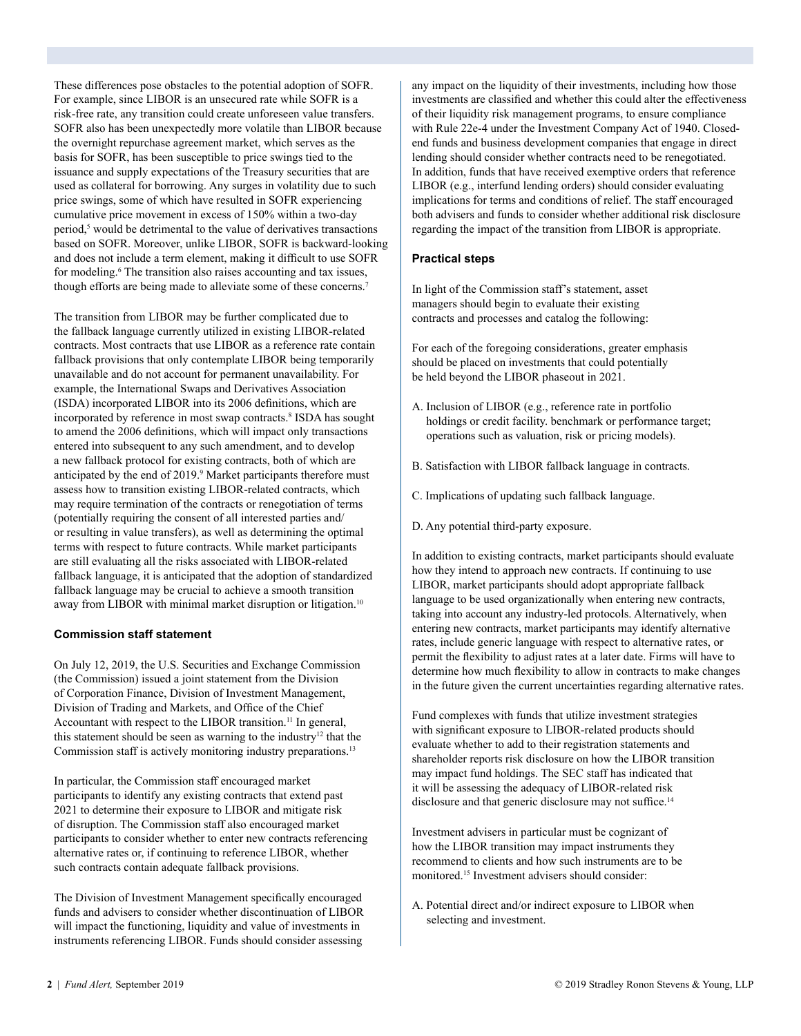These differences pose obstacles to the potential adoption of SOFR. For example, since LIBOR is an unsecured rate while SOFR is a risk-free rate, any transition could create unforeseen value transfers. SOFR also has been unexpectedly more volatile than LIBOR because the overnight repurchase agreement market, which serves as the basis for SOFR, has been susceptible to price swings tied to the issuance and supply expectations of the Treasury securities that are used as collateral for borrowing. Any surges in volatility due to such price swings, some of which have resulted in SOFR experiencing cumulative price movement in excess of 150% within a two-day period,<sup>5</sup> would be detrimental to the value of derivatives transactions based on SOFR. Moreover, unlike LIBOR, SOFR is backward-looking and does not include a term element, making it difficult to use SOFR for modeling.<sup>6</sup> The transition also raises accounting and tax issues, though efforts are being made to alleviate some of these concerns.<sup>7</sup>

The transition from LIBOR may be further complicated due to the fallback language currently utilized in existing LIBOR-related contracts. Most contracts that use LIBOR as a reference rate contain fallback provisions that only contemplate LIBOR being temporarily unavailable and do not account for permanent unavailability. For example, the International Swaps and Derivatives Association (ISDA) incorporated LIBOR into its 2006 definitions, which are incorporated by reference in most swap contracts.<sup>8</sup> ISDA has sought to amend the 2006 definitions, which will impact only transactions entered into subsequent to any such amendment, and to develop a new fallback protocol for existing contracts, both of which are anticipated by the end of 2019.<sup>9</sup> Market participants therefore must assess how to transition existing LIBOR-related contracts, which may require termination of the contracts or renegotiation of terms (potentially requiring the consent of all interested parties and/ or resulting in value transfers), as well as determining the optimal terms with respect to future contracts. While market participants are still evaluating all the risks associated with LIBOR-related fallback language, it is anticipated that the adoption of standardized fallback language may be crucial to achieve a smooth transition away from LIBOR with minimal market disruption or litigation.<sup>10</sup>

#### **Commission staff statement**

On July 12, 2019, the U.S. Securities and Exchange Commission (the Commission) issued a joint statement from the Division of Corporation Finance, Division of Investment Management, Division of Trading and Markets, and Office of the Chief Accountant with respect to the LIBOR transition.<sup>11</sup> In general, this statement should be seen as warning to the industry<sup>12</sup> that the Commission staff is actively monitoring industry preparations.<sup>13</sup>

In particular, the Commission staff encouraged market participants to identify any existing contracts that extend past 2021 to determine their exposure to LIBOR and mitigate risk of disruption. The Commission staff also encouraged market participants to consider whether to enter new contracts referencing alternative rates or, if continuing to reference LIBOR, whether such contracts contain adequate fallback provisions.

The Division of Investment Management specifically encouraged funds and advisers to consider whether discontinuation of LIBOR will impact the functioning, liquidity and value of investments in instruments referencing LIBOR. Funds should consider assessing

any impact on the liquidity of their investments, including how those investments are classified and whether this could alter the effectiveness of their liquidity risk management programs, to ensure compliance with Rule 22e-4 under the Investment Company Act of 1940. Closedend funds and business development companies that engage in direct lending should consider whether contracts need to be renegotiated. In addition, funds that have received exemptive orders that reference LIBOR (e.g., interfund lending orders) should consider evaluating implications for terms and conditions of relief. The staff encouraged both advisers and funds to consider whether additional risk disclosure regarding the impact of the transition from LIBOR is appropriate.

#### **Practical steps**

In light of the Commission staff's statement, asset managers should begin to evaluate their existing contracts and processes and catalog the following:

For each of the foregoing considerations, greater emphasis should be placed on investments that could potentially be held beyond the LIBOR phaseout in 2021.

- A. Inclusion of LIBOR (e.g., reference rate in portfolio holdings or credit facility. benchmark or performance target; operations such as valuation, risk or pricing models).
- B. Satisfaction with LIBOR fallback language in contracts.
- C. Implications of updating such fallback language.
- D. Any potential third-party exposure.

In addition to existing contracts, market participants should evaluate how they intend to approach new contracts. If continuing to use LIBOR, market participants should adopt appropriate fallback language to be used organizationally when entering new contracts, taking into account any industry-led protocols. Alternatively, when entering new contracts, market participants may identify alternative rates, include generic language with respect to alternative rates, or permit the flexibility to adjust rates at a later date. Firms will have to determine how much flexibility to allow in contracts to make changes in the future given the current uncertainties regarding alternative rates.

Fund complexes with funds that utilize investment strategies with significant exposure to LIBOR-related products should evaluate whether to add to their registration statements and shareholder reports risk disclosure on how the LIBOR transition may impact fund holdings. The SEC staff has indicated that it will be assessing the adequacy of LIBOR-related risk disclosure and that generic disclosure may not suffice.<sup>14</sup>

Investment advisers in particular must be cognizant of how the LIBOR transition may impact instruments they recommend to clients and how such instruments are to be monitored<sup>15</sup> Investment advisers should consider:

A. Potential direct and/or indirect exposure to LIBOR when selecting and investment.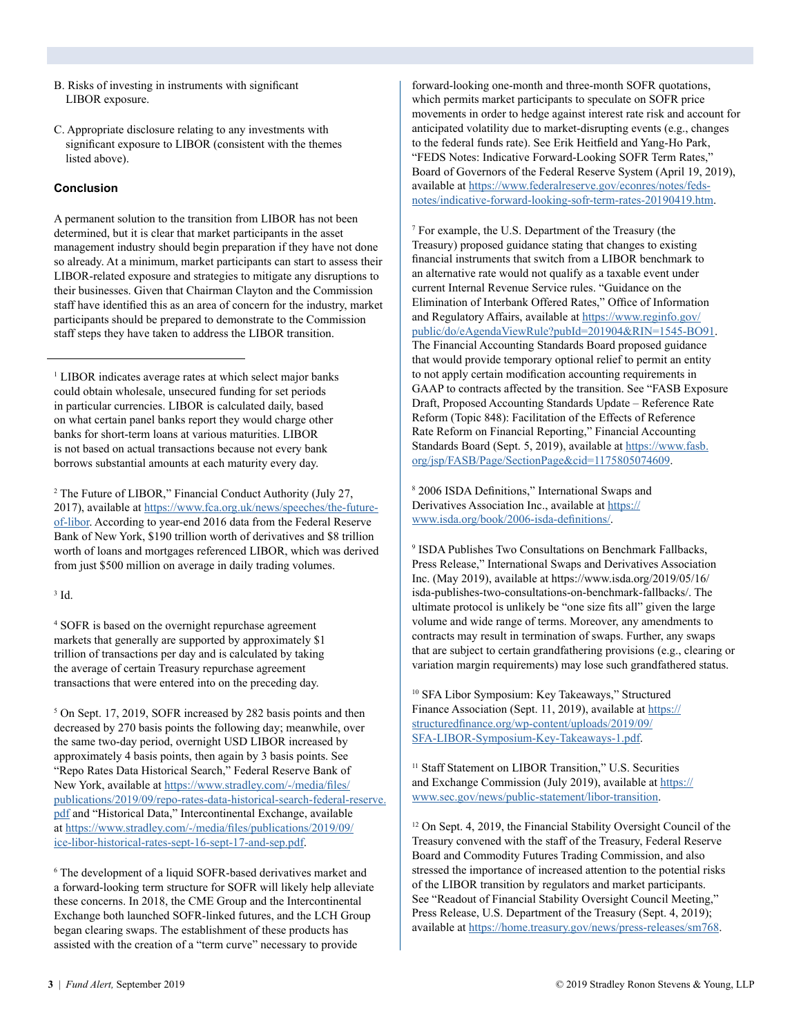- B. Risks of investing in instruments with significant LIBOR exposure.
- C. Appropriate disclosure relating to any investments with significant exposure to LIBOR (consistent with the themes listed above).

#### **Conclusion**

A permanent solution to the transition from LIBOR has not been determined, but it is clear that market participants in the asset management industry should begin preparation if they have not done so already. At a minimum, market participants can start to assess their LIBOR-related exposure and strategies to mitigate any disruptions to their businesses. Given that Chairman Clayton and the Commission staff have identified this as an area of concern for the industry, market participants should be prepared to demonstrate to the Commission staff steps they have taken to address the LIBOR transition.

<sup>1</sup> LIBOR indicates average rates at which select major banks could obtain wholesale, unsecured funding for set periods in particular currencies. LIBOR is calculated daily, based on what certain panel banks report they would charge other banks for short-term loans at various maturities. LIBOR is not based on actual transactions because not every bank borrows substantial amounts at each maturity every day.

2 The Future of LIBOR," Financial Conduct Authority (July 27, 2017), available at [https://www.fca.org.uk/news/speeches/the-future](https://www.fca.org.uk/news/speeches/the-future-of-libor)[of-libor](https://www.fca.org.uk/news/speeches/the-future-of-libor). According to year-end 2016 data from the Federal Reserve Bank of New York, \$190 trillion worth of derivatives and \$8 trillion worth of loans and mortgages referenced LIBOR, which was derived from just \$500 million on average in daily trading volumes.

#### $3$  Id.

4 SOFR is based on the overnight repurchase agreement markets that generally are supported by approximately \$1 trillion of transactions per day and is calculated by taking the average of certain Treasury repurchase agreement transactions that were entered into on the preceding day.

5 On Sept. 17, 2019, SOFR increased by 282 basis points and then decreased by 270 basis points the following day; meanwhile, over the same two-day period, overnight USD LIBOR increased by approximately 4 basis points, then again by 3 basis points. See "Repo Rates Data Historical Search," Federal Reserve Bank of New York, available at [https://www.stradley.com/-/media/files/](https://www.stradley.com/-/media/files/publications/2019/09/repo-rates-data-historical-search-federal-reserve.pdf) [publications/2019/09/repo-rates-data-historical-search-federal-reserve.](https://www.stradley.com/-/media/files/publications/2019/09/repo-rates-data-historical-search-federal-reserve.pdf) [pdf](https://www.stradley.com/-/media/files/publications/2019/09/repo-rates-data-historical-search-federal-reserve.pdf) and "Historical Data," Intercontinental Exchange, available at [https://www.stradley.com/-/media/files/publications/2019/09/](https://www.stradley.com/-/media/files/publications/2019/09/ice-libor-historical-rates-sept-16-sept-17-and-sep.pdf) [ice-libor-historical-rates-sept-16-sept-17-and-sep.pdf](https://www.stradley.com/-/media/files/publications/2019/09/ice-libor-historical-rates-sept-16-sept-17-and-sep.pdf).

6 The development of a liquid SOFR-based derivatives market and a forward-looking term structure for SOFR will likely help alleviate these concerns. In 2018, the CME Group and the Intercontinental Exchange both launched SOFR-linked futures, and the LCH Group began clearing swaps. The establishment of these products has assisted with the creation of a "term curve" necessary to provide

forward-looking one-month and three-month SOFR quotations, which permits market participants to speculate on SOFR price movements in order to hedge against interest rate risk and account for anticipated volatility due to market-disrupting events (e.g., changes to the federal funds rate). See Erik Heitfield and Yang-Ho Park, "FEDS Notes: Indicative Forward-Looking SOFR Term Rates," Board of Governors of the Federal Reserve System (April 19, 2019), available at [https://www.federalreserve.gov/econres/notes/feds](https://www.federalreserve.gov/econres/notes/feds-notes/indicative-forward-looking-sofr-term-rates-20190419.htm)[notes/indicative-forward-looking-sofr-term-rates-20190419.htm.](https://www.federalreserve.gov/econres/notes/feds-notes/indicative-forward-looking-sofr-term-rates-20190419.htm)

7 For example, the U.S. Department of the Treasury (the Treasury) proposed guidance stating that changes to existing financial instruments that switch from a LIBOR benchmark to an alternative rate would not qualify as a taxable event under current Internal Revenue Service rules. "Guidance on the Elimination of Interbank Offered Rates," Office of Information and Regulatory Affairs, available at [https://www.reginfo.gov/](https://www.reginfo.gov/public/do/eAgendaViewRule?pubId=201904&RIN=1545-BO91) [public/do/eAgendaViewRule?pubId=201904&RIN=1545-BO91.](https://www.reginfo.gov/public/do/eAgendaViewRule?pubId=201904&RIN=1545-BO91) The Financial Accounting Standards Board proposed guidance that would provide temporary optional relief to permit an entity to not apply certain modification accounting requirements in GAAP to contracts affected by the transition. See "FASB Exposure Draft, Proposed Accounting Standards Update – Reference Rate Reform (Topic 848): Facilitation of the Effects of Reference Rate Reform on Financial Reporting," Financial Accounting Standards Board (Sept. 5, 2019), available at [https://www.fasb.](https://www.fasb.org/jsp/FASB/Page/SectionPage&cid=1175805074609) [org/jsp/FASB/Page/SectionPage&cid=1175805074609](https://www.fasb.org/jsp/FASB/Page/SectionPage&cid=1175805074609).

8 2006 ISDA Definitions," International Swaps and Derivatives Association Inc., available at [https://](https://www.isda.org/book/2006-isda-definitions/) [www.isda.org/book/2006-isda-definitions/](https://www.isda.org/book/2006-isda-definitions/).

9 ISDA Publishes Two Consultations on Benchmark Fallbacks, Press Release," International Swaps and Derivatives Association Inc. (May 2019), available at https://www.isda.org/2019/05/16/ isda-publishes-two-consultations-on-benchmark-fallbacks/. The ultimate protocol is unlikely be "one size fits all" given the large volume and wide range of terms. Moreover, any amendments to contracts may result in termination of swaps. Further, any swaps that are subject to certain grandfathering provisions (e.g., clearing or variation margin requirements) may lose such grandfathered status.

10 SFA Libor Symposium: Key Takeaways," Structured Finance Association (Sept. 11, 2019), available at [https://](https://structuredfinance.org/wp-content/uploads/2019/09/SFA-LIBOR-Symposium-Key-Takeaways-1.pdf) [structuredfinance.org/wp-content/uploads/2019/09/](https://structuredfinance.org/wp-content/uploads/2019/09/SFA-LIBOR-Symposium-Key-Takeaways-1.pdf) [SFA-LIBOR-Symposium-Key-Takeaways-1.pdf](https://structuredfinance.org/wp-content/uploads/2019/09/SFA-LIBOR-Symposium-Key-Takeaways-1.pdf).

<sup>11</sup> Staff Statement on LIBOR Transition," U.S. Securities and Exchange Commission (July 2019), available at [https://](https://www.sec.gov/news/public-statement/libor-transition) [www.sec.gov/news/public-statement/libor-transition](https://www.sec.gov/news/public-statement/libor-transition).

<sup>12</sup> On Sept. 4, 2019, the Financial Stability Oversight Council of the Treasury convened with the staff of the Treasury, Federal Reserve Board and Commodity Futures Trading Commission, and also stressed the importance of increased attention to the potential risks of the LIBOR transition by regulators and market participants. See "Readout of Financial Stability Oversight Council Meeting," Press Release, U.S. Department of the Treasury (Sept. 4, 2019); available at [https://home.treasury.gov/news/press-releases/sm768.](https://home.treasury.gov/news/press-releases/sm768)